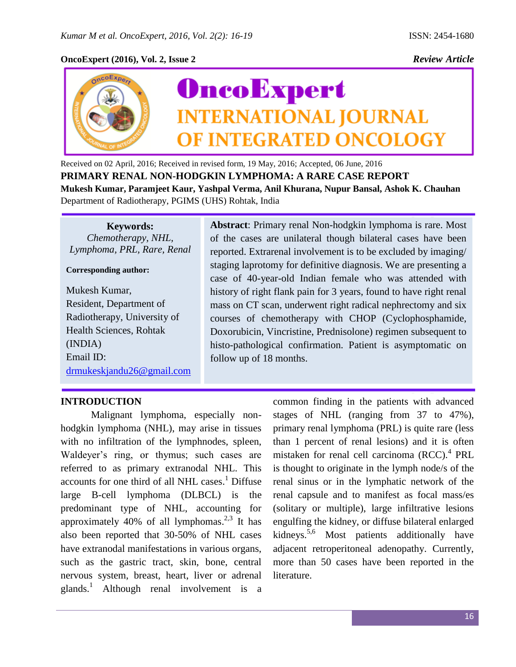## **OncoExpert (2016), Vol. 2, Issue 2** *Review Article*



Received on 02 April, 2016; Received in revised form, 19 May, 2016; Accepted, 06 June, 2016 **PRIMARY RENAL NON-HODGKIN LYMPHOMA: A RARE CASE REPORT Mukesh Kumar, Paramjeet Kaur, Yashpal Verma, Anil Khurana, Nupur Bansal, Ashok K. Chauhan** Department of Radiotherapy, PGIMS (UHS) Rohtak, India

**Keywords:** *Chemotherapy, NHL, Lymphoma, PRL, Rare, Renal*

**Corresponding author:** 

Mukesh Kumar, Resident, Department of Radiotherapy, University of Health Sciences, Rohtak (INDIA) Email ID: [drmukeskjandu26@gmail.com](mailto:drmukeskjandu26@gmail.com) **Abstract**: Primary renal Non-hodgkin lymphoma is rare. Most of the cases are unilateral though bilateral cases have been reported. Extrarenal involvement is to be excluded by imaging/ staging laprotomy for definitive diagnosis. We are presenting a case of 40-year-old Indian female who was attended with history of right flank pain for 3 years, found to have right renal mass on CT scan, underwent right radical nephrectomy and six courses of chemotherapy with CHOP (Cyclophosphamide, Doxorubicin, Vincristine, Prednisolone) regimen subsequent to histo-pathological confirmation. Patient is asymptomatic on follow up of 18 months.

## **INTRODUCTION**

Malignant lymphoma, especially nonhodgkin lymphoma (NHL), may arise in tissues with no infiltration of the lymphnodes, spleen, Waldeyer's ring, or thymus; such cases are referred to as primary extranodal NHL. This accounts for one third of all NHL cases. <sup>1</sup> Diffuse large B-cell lymphoma (DLBCL) is the predominant type of NHL, accounting for approximately 40% of all lymphomas.<sup>2,3</sup> It has also been reported that 30-50% of NHL cases have extranodal manifestations in various organs, such as the gastric tract, skin, bone, central nervous system, breast, heart, liver or adrenal glands.<sup>1</sup> Although renal involvement is a

common finding in the patients with advanced stages of NHL (ranging from 37 to 47%), primary renal lymphoma (PRL) is quite rare (less than 1 percent of renal lesions) and it is often mistaken for renal cell carcinoma (RCC).<sup>4</sup> PRL is thought to originate in the lymph node/s of the renal sinus or in the lymphatic network of the renal capsule and to manifest as focal mass/es (solitary or multiple), large infiltrative lesions engulfing the kidney, or diffuse bilateral enlarged kidneys.<sup>5,6</sup> Most patients additionally have adjacent retroperitoneal adenopathy. Currently, more than 50 cases have been reported in the literature.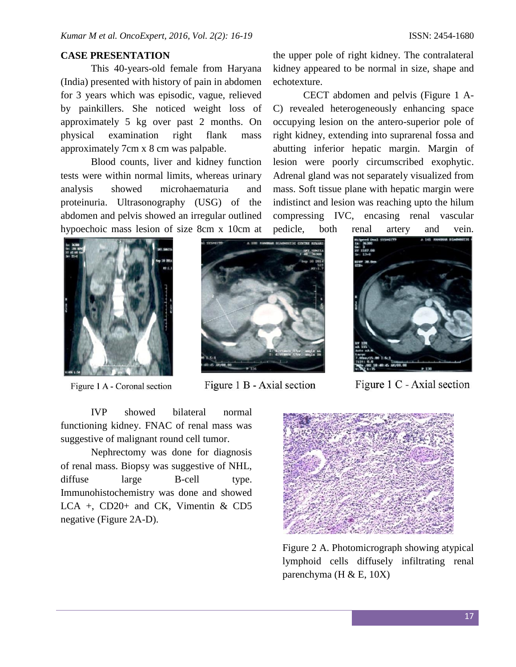## **CASE PRESENTATION**

This 40-years-old female from Haryana (India) presented with history of pain in abdomen for 3 years which was episodic, vague, relieved by painkillers. She noticed weight loss of approximately 5 kg over past 2 months. On physical examination right flank mass approximately 7cm x 8 cm was palpable.

Blood counts, liver and kidney function tests were within normal limits, whereas urinary analysis showed microhaematuria and proteinuria. Ultrasonography (USG) of the abdomen and pelvis showed an irregular outlined hypoechoic mass lesion of size 8cm x 10cm at

the upper pole of right kidney. The contralateral kidney appeared to be normal in size, shape and echotexture.

CECT abdomen and pelvis (Figure 1 A-C) revealed heterogeneously enhancing space occupying lesion on the antero-superior pole of right kidney, extending into suprarenal fossa and abutting inferior hepatic margin. Margin of lesion were poorly circumscribed exophytic. Adrenal gland was not separately visualized from mass. Soft tissue plane with hepatic margin were indistinct and lesion was reaching upto the hilum compressing IVC, encasing renal vascular pedicle, both renal artery and vein.



Figure 1 A - Coronal section



Figure 1 B - Axial section



Figure 1 C - Axial section

IVP showed bilateral normal functioning kidney. FNAC of renal mass was suggestive of malignant round cell tumor.

Nephrectomy was done for diagnosis of renal mass. Biopsy was suggestive of NHL, diffuse large B-cell type. Immunohistochemistry was done and showed LCA +, CD20+ and CK, Vimentin & CD5 negative (Figure 2A-D).



Figure 2 A. Photomicrograph showing atypical lymphoid cells diffusely infiltrating renal parenchyma (H  $\&$  E, 10X)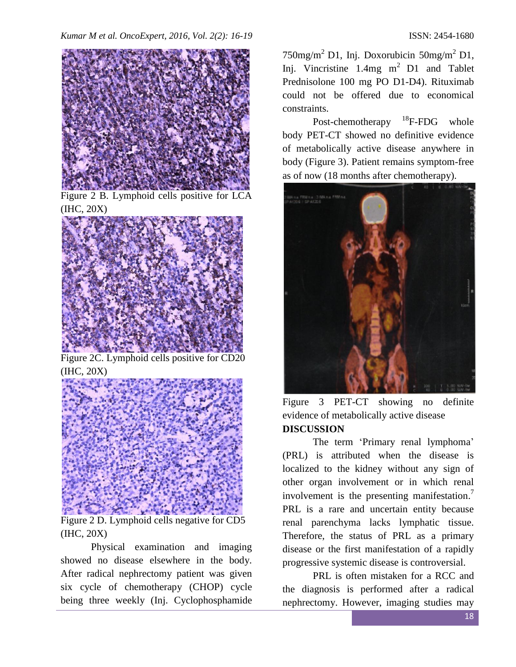

Figure 2 B. Lymphoid cells positive for LCA (IHC, 20X)



Figure 2C. Lymphoid cells positive for CD20 (IHC, 20X)



Figure 2 D. Lymphoid cells negative for CD5 (IHC, 20X)

Physical examination and imaging showed no disease elsewhere in the body. After radical nephrectomy patient was given six cycle of chemotherapy (CHOP) cycle being three weekly (Inj. Cyclophosphamide

 $750$ mg/m<sup>2</sup> D1, Inj. Doxorubicin  $50$ mg/m<sup>2</sup> D1, Inj. Vincristine  $1.4mg$  m<sup>2</sup> D1 and Tablet Prednisolone 100 mg PO D1-D4). Rituximab could not be offered due to economical constraints.

Post-chemotherapy  $^{18}$ F-FDG whole body PET-CT showed no definitive evidence of metabolically active disease anywhere in body (Figure 3). Patient remains symptom-free as of now (18 months after chemotherapy).



Figure 3 PET-CT showing no definite evidence of metabolically active disease **DISCUSSION**

The term 'Primary renal lymphoma' (PRL) is attributed when the disease is localized to the kidney without any sign of other organ involvement or in which renal involvement is the presenting manifestation.<sup>7</sup> PRL is a rare and uncertain entity because renal parenchyma lacks lymphatic tissue. Therefore, the status of PRL as a primary disease or the first manifestation of a rapidly progressive systemic disease is controversial.

PRL is often mistaken for a RCC and the diagnosis is performed after a radical nephrectomy. However, imaging studies may